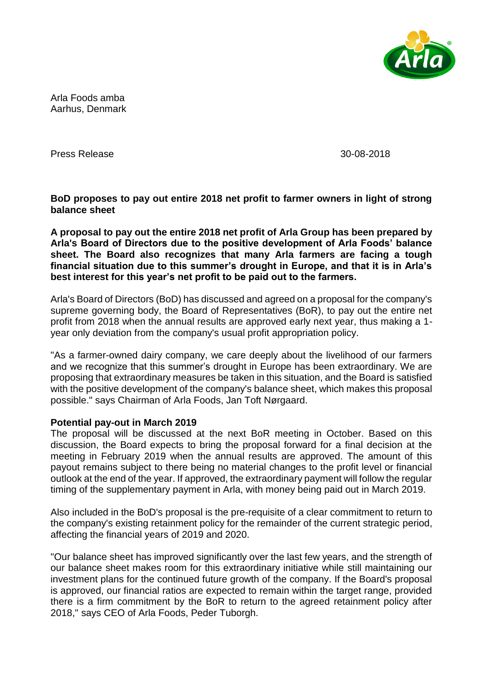

Arla Foods amba Aarhus, Denmark

Press Release 30-08-2018

**BoD proposes to pay out entire 2018 net profit to farmer owners in light of strong balance sheet**

**A proposal to pay out the entire 2018 net profit of Arla Group has been prepared by Arla's Board of Directors due to the positive development of Arla Foods' balance sheet. The Board also recognizes that many Arla farmers are facing a tough financial situation due to this summer's drought in Europe, and that it is in Arla's best interest for this year's net profit to be paid out to the farmers.**

Arla's Board of Directors (BoD) has discussed and agreed on a proposal for the company's supreme governing body, the Board of Representatives (BoR), to pay out the entire net profit from 2018 when the annual results are approved early next year, thus making a 1 year only deviation from the company's usual profit appropriation policy.

"As a farmer-owned dairy company, we care deeply about the livelihood of our farmers and we recognize that this summer's drought in Europe has been extraordinary. We are proposing that extraordinary measures be taken in this situation, and the Board is satisfied with the positive development of the company's balance sheet, which makes this proposal possible." says Chairman of Arla Foods, Jan Toft Nørgaard.

## **Potential pay-out in March 2019**

The proposal will be discussed at the next BoR meeting in October. Based on this discussion, the Board expects to bring the proposal forward for a final decision at the meeting in February 2019 when the annual results are approved. The amount of this payout remains subject to there being no material changes to the profit level or financial outlook at the end of the year. If approved, the extraordinary payment will follow the regular timing of the supplementary payment in Arla, with money being paid out in March 2019.

Also included in the BoD's proposal is the pre-requisite of a clear commitment to return to the company's existing retainment policy for the remainder of the current strategic period, affecting the financial years of 2019 and 2020.

"Our balance sheet has improved significantly over the last few years, and the strength of our balance sheet makes room for this extraordinary initiative while still maintaining our investment plans for the continued future growth of the company. If the Board's proposal is approved, our financial ratios are expected to remain within the target range, provided there is a firm commitment by the BoR to return to the agreed retainment policy after 2018," says CEO of Arla Foods, Peder Tuborgh.